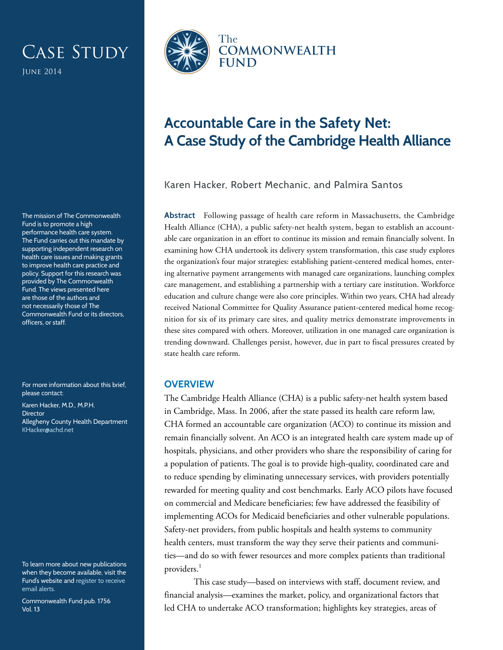# CASE STUDY

June 2014

The mission of The Commonwealth Fund is to promote a high performance health care system. The Fund carries out this mandate by supporting independent research on health care issues and making grants to improve health care practice and policy. Support for this research was provided by The Commonwealth Fund. The views presented here are those of the authors and not necessarily those of The Commonwealth Fund or its directors, officers, or staff.

For more information about this brief, please contact:

Karen Hacker, M.D., M.P.H. **Director** Allegheny County Health Department [KHacker@achd.net](mailto:KHacker@achd.net)

To learn more about new publications when they become available, visit the Fund's website and [register to receive](http://www.commonwealthfund.org/myprofile/myprofile_edit.htm)  [email alerts.](http://www.commonwealthfund.org/myprofile/myprofile_edit.htm)

Commonwealth Fund pub. 1756 Vol. 13



## **Accountable Care in the Safety Net: A Case Study of the Cambridge Health Alliance**

Karen Hacker, Robert Mechanic, and Palmira Santos

**Abstract** Following passage of health care reform in Massachusetts, the Cambridge Health Alliance (CHA), a public safety-net health system, began to establish an accountable care organization in an effort to continue its mission and remain financially solvent. In examining how CHA undertook its delivery system transformation, this case study explores the organization's four major strategies: establishing patient-centered medical homes, entering alternative payment arrangements with managed care organizations, launching complex care management, and establishing a partnership with a tertiary care institution. Workforce education and culture change were also core principles. Within two years, CHA had already received National Committee for Quality Assurance patient-centered medical home recognition for six of its primary care sites, and quality metrics demonstrate improvements in these sites compared with others. Moreover, utilization in one managed care organization is trending downward. Challenges persist, however, due in part to fiscal pressures created by state health care reform.

#### **OVERVIEW**

The Cambridge Health Alliance (CHA) is a public safety-net health system based in Cambridge, Mass. In 2006, after the state passed its health care reform law, CHA formed an accountable care organization (ACO) to continue its mission and remain financially solvent. An ACO is an integrated health care system made up of hospitals, physicians, and other providers who share the responsibility of caring for a population of patients. The goal is to provide high-quality, coordinated care and to reduce spending by eliminating unnecessary services, with providers potentially rewarded for meeting quality and cost benchmarks. Early ACO pilots have focused on commercial and Medicare beneficiaries; few have addressed the feasibility of implementing ACOs for Medicaid beneficiaries and other vulnerable populations. Safety-net providers, from public hospitals and health systems to community health centers, must transform the way they serve their patients and communities—and do so with fewer resources and more complex patients than traditional providers.<sup>1</sup>

This case study—based on interviews with staff, document review, and financial analysis—examines the market, policy, and organizational factors that led CHA to undertake ACO transformation; highlights key strategies, areas of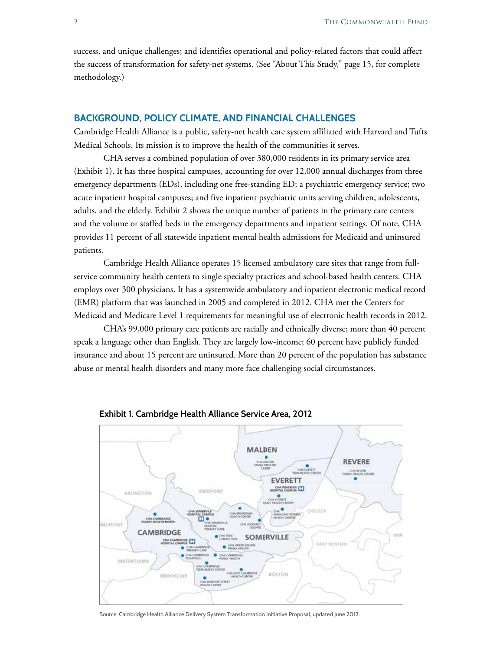success, and unique challenges; and identifies operational and policy-related factors that could affect the success of transformation for safety-net systems. (See "About This Study," page 15, for complete methodology.)

#### **BACKGROUND, POLICY CLIMATE, AND FINANCIAL CHALLENGES**

Cambridge Health Alliance is a public, safety-net health care system affiliated with Harvard and Tufts Medical Schools. Its mission is to improve the health of the communities it serves.

CHA serves a combined population of over 380,000 residents in its primary service area (Exhibit 1). It has three hospital campuses, accounting for over 12,000 annual discharges from three emergency departments (EDs), including one free-standing ED; a psychiatric emergency service; two acute inpatient hospital campuses; and five inpatient psychiatric units serving children, adolescents, adults, and the elderly. Exhibit 2 shows the unique number of patients in the primary care centers and the volume or staffed beds in the emergency departments and inpatient settings. Of note, CHA provides 11 percent of all statewide inpatient mental health admissions for Medicaid and uninsured patients.

Cambridge Health Alliance operates 15 licensed ambulatory care sites that range from fullservice community health centers to single specialty practices and school-based health centers. CHA employs over 300 physicians. It has a systemwide ambulatory and inpatient electronic medical record (EMR) platform that was launched in 2005 and completed in 2012. CHA met the Centers for Medicaid and Medicare Level 1 requirements for meaningful use of electronic health records in 2012.

CHA's 99,000 primary care patients are racially and ethnically diverse; more than 40 percent speak a language other than English. They are largely low-income; 60 percent have publicly funded insurance and about 15 percent are uninsured. More than 20 percent of the population has substance abuse or mental health disorders and many more face challenging social circumstances.



#### **Exhibit 1. Cambridge Health Alliance Service Area, 2012**

Source: Cambridge Health Alliance Delivery System Transformation Initiative Proposal, updated June 2012.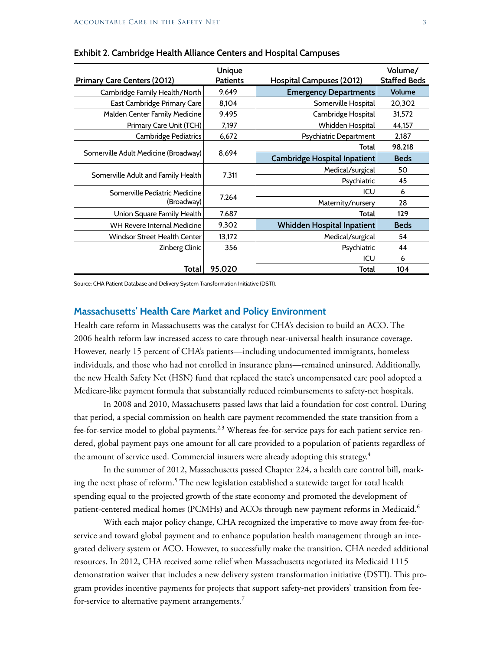| <b>Primary Care Centers (2012)</b>   | Unique<br><b>Patients</b> | Hospital Campuses (2012)            | Volume/<br><b>Staffed Beds</b> |
|--------------------------------------|---------------------------|-------------------------------------|--------------------------------|
| Cambridge Family Health/North        | 9,649                     | <b>Emergency Departments</b>        | Volume                         |
| East Cambridge Primary Care          | 8,104                     | Somerville Hospital                 | 20,302                         |
| Malden Center Family Medicine        | 9,495                     | Cambridge Hospital                  | 31,572                         |
| Primary Care Unit (TCH)              | 7,197                     | Whidden Hospital                    | 44,157                         |
| Cambridge Pediatrics                 | 6,672                     | Psychiatric Department              | 2,187                          |
|                                      | 8,694                     | Total                               | 98,218                         |
| Somerville Adult Medicine (Broadway) |                           | <b>Cambridge Hospital Inpatient</b> | <b>Beds</b>                    |
|                                      | 7.311                     | Medical/surgical                    | 50                             |
| Somerville Adult and Family Health   |                           | Psychiatric                         | 45                             |
| Somerville Pediatric Medicine        | 7,264                     | ICU                                 | 6                              |
| (Broadway)                           |                           | Maternity/nursery                   | 28                             |
| Union Square Family Health           | 7,687                     | Total                               | 129                            |
| WH Revere Internal Medicine          | 9,302                     | Whidden Hospital Inpatient          | <b>Beds</b>                    |
| <b>Windsor Street Health Center</b>  | 13,172                    | Medical/surgical                    | 54                             |
| Zinberg Clinic                       | 356                       | Psychiatric                         | 44                             |
|                                      |                           | ICU                                 | 6                              |
| Total                                | 95,020                    | Total                               | 104                            |

#### **Exhibit 2. Cambridge Health Alliance Centers and Hospital Campuses**

Source: CHA Patient Database and Delivery System Transformation Initiative (DSTI).

#### **Massachusetts' Health Care Market and Policy Environment**

Health care reform in Massachusetts was the catalyst for CHA's decision to build an ACO. The 2006 health reform law increased access to care through near-universal health insurance coverage. However, nearly 15 percent of CHA's patients—including undocumented immigrants, homeless individuals, and those who had not enrolled in insurance plans—remained uninsured. Additionally, the new Health Safety Net (HSN) fund that replaced the state's uncompensated care pool adopted a Medicare-like payment formula that substantially reduced reimbursements to safety-net hospitals.

In 2008 and 2010, Massachusetts passed laws that laid a foundation for cost control. During that period, a special commission on health care payment recommended the state transition from a fee-for-service model to global payments.<sup>2,3</sup> Whereas fee-for-service pays for each patient service rendered, global payment pays one amount for all care provided to a population of patients regardless of the amount of service used. Commercial insurers were already adopting this strategy.<sup>4</sup>

In the summer of 2012, Massachusetts passed Chapter 224, a health care control bill, marking the next phase of reform.5 The new legislation established a statewide target for total health spending equal to the projected growth of the state economy and promoted the development of patient-centered medical homes (PCMHs) and ACOs through new payment reforms in Medicaid.<sup>6</sup>

With each major policy change, CHA recognized the imperative to move away from fee-forservice and toward global payment and to enhance population health management through an integrated delivery system or ACO. However, to successfully make the transition, CHA needed additional resources. In 2012, CHA received some relief when Massachusetts negotiated its Medicaid 1115 demonstration waiver that includes a new delivery system transformation initiative (DSTI). This program provides incentive payments for projects that support safety-net providers' transition from feefor-service to alternative payment arrangements.<sup>7</sup>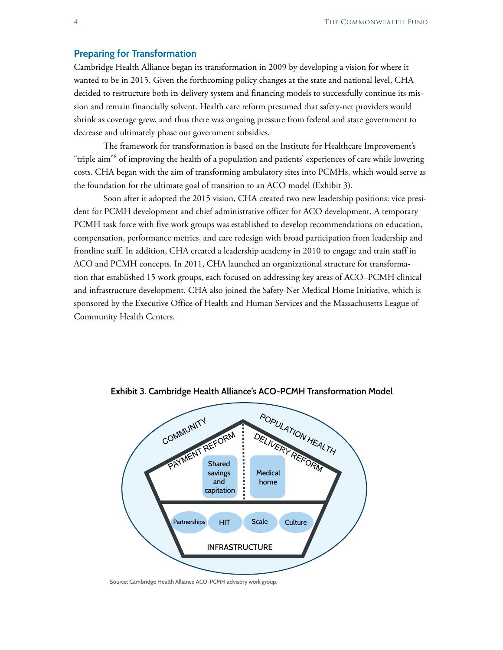#### **Preparing for Transformation**

Cambridge Health Alliance began its transformation in 2009 by developing a vision for where it wanted to be in 2015. Given the forthcoming policy changes at the state and national level, CHA decided to restructure both its delivery system and financing models to successfully continue its mission and remain financially solvent. Health care reform presumed that safety-net providers would shrink as coverage grew, and thus there was ongoing pressure from federal and state government to decrease and ultimately phase out government subsidies.

The framework for transformation is based on the Institute for Healthcare Improvement's "triple aim"<sup>8</sup> of improving the health of a population and patients' experiences of care while lowering costs. CHA began with the aim of transforming ambulatory sites into PCMHs, which would serve as the foundation for the ultimate goal of transition to an ACO model (Exhibit 3).

Soon after it adopted the 2015 vision, CHA created two new leadership positions: vice president for PCMH development and chief administrative officer for ACO development. A temporary PCMH task force with five work groups was established to develop recommendations on education, compensation, performance metrics, and care redesign with broad participation from leadership and frontline staff. In addition, CHA created a leadership academy in 2010 to engage and train staff in ACO and PCMH concepts. In 2011, CHA launched an organizational structure for transformation that established 15 work groups, each focused on addressing key areas of ACO–PCMH clinical and infrastructure development. CHA also joined the Safety-Net Medical Home Initiative, which is sponsored by the Executive Office of Health and Human Services and the Massachusetts League of Community Health Centers.



**Exhibit 3. Cambridge Health Alliance's ACO-PCMH Transformation Model**

Source: Cambridge Health Alliance ACO-PCMH advisory work group.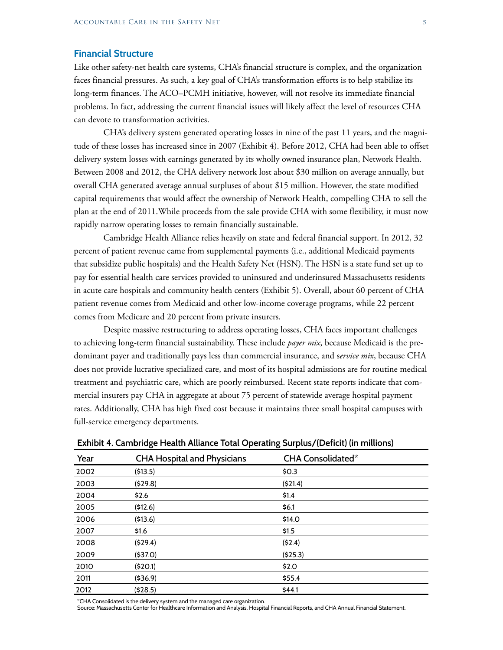#### **Financial Structure**

Like other safety-net health care systems, CHA's financial structure is complex, and the organization faces financial pressures. As such, a key goal of CHA's transformation efforts is to help stabilize its long-term finances. The ACO–PCMH initiative, however, will not resolve its immediate financial problems. In fact, addressing the current financial issues will likely affect the level of resources CHA can devote to transformation activities.

CHA's delivery system generated operating losses in nine of the past 11 years, and the magnitude of these losses has increased since in 2007 (Exhibit 4). Before 2012, CHA had been able to offset delivery system losses with earnings generated by its wholly owned insurance plan, Network Health. Between 2008 and 2012, the CHA delivery network lost about \$30 million on average annually, but overall CHA generated average annual surpluses of about \$15 million. However, the state modified capital requirements that would affect the ownership of Network Health, compelling CHA to sell the plan at the end of <2011.While>proceeds from the sale provide CHA with some flexibility, it must now rapidly narrow operating losses to remain financially sustainable.

Cambridge Health Alliance relies heavily on state and federal financial support. In 2012, 32 percent of patient revenue came from supplemental payments (i.e., additional Medicaid payments that subsidize public hospitals) and the Health Safety Net (HSN). The HSN is a state fund set up to pay for essential health care services provided to uninsured and underinsured Massachusetts residents in acute care hospitals and community health centers (Exhibit 5). Overall, about 60 percent of CHA patient revenue comes from Medicaid and other low-income coverage programs, while 22 percent comes from Medicare and 20 percent from private insurers.

Despite massive restructuring to address operating losses, CHA faces important challenges to achieving long-term financial sustainability. These include *payer mix*, because Medicaid is the predominant payer and traditionally pays less than commercial insurance, and s*ervice mix*, because CHA does not provide lucrative specialized care, and most of its hospital admissions are for routine medical treatment and psychiatric care, which are poorly reimbursed. Recent state reports indicate that commercial insurers pay CHA in aggregate at about 75 percent of statewide average hospital payment rates. Additionally, CHA has high fixed cost because it maintains three small hospital campuses with full-service emergency departments.

| Year | <b>CHA Hospital and Physicians</b> | CHA Consolidated* |
|------|------------------------------------|-------------------|
| 2002 | (513.5)                            | \$0.3             |
| 2003 | (529.8)                            | (\$21.4)          |
| 2004 | \$2.6                              | \$1.4             |
| 2005 | (512.6)                            | \$6.1             |
| 2006 | (\$13.6)                           | \$14.0            |
| 2007 | \$1.6                              | \$1.5             |
| 2008 | (529.4)                            | (52.4)            |
| 2009 | (537.0)                            | (525.3)           |
| 2010 | (520.1)                            | \$2.0             |
| 2011 | ( \$36.9)                          | \$55.4            |
| 2012 | (528.5)                            | \$44.1            |

**Exhibit 4. Cambridge Health Alliance Total Operating Surplus/(Deficit) (in millions)**

\*CHA Consolidated is the delivery system and the managed care organization.

Source: Massachusetts Center for Healthcare Information and Analysis, Hospital Financial Reports, and CHA Annual Financial Statement.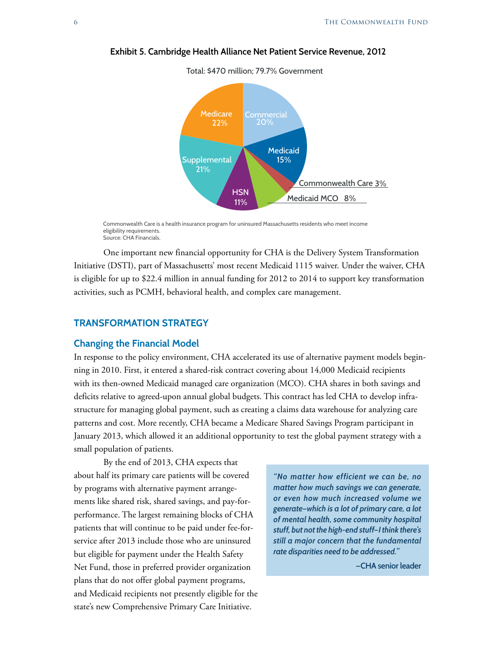

**Exhibit 5. Cambridge Health Alliance Net Patient Service Revenue, 2012**

Total: \$470 million; 79.7% Government

Commonwealth Care is a health insurance program for uninsured Massachusetts residents who meet income eligibility requirements. Source: CHA Financials.

One important new financial opportunity for CHA is the Delivery System Transformation Initiative (DSTI), part of Massachusetts' most recent Medicaid 1115 waiver. Under the waiver, CHA is eligible for up to \$22.4 million in annual funding for 2012 to 2014 to support key transformation activities, such as PCMH, behavioral health, and complex care management.

#### **TRANSFORMATION STRATEGY**

#### **Changing the Financial Model**

In response to the policy environment, CHA accelerated its use of alternative payment models beginning in 2010. First, it entered a shared-risk contract covering about 14,000 Medicaid recipients with its then-owned Medicaid managed care organization (MCO). CHA shares in both savings and deficits relative to agreed-upon annual global budgets. This contract has led CHA to develop infrastructure for managing global payment, such as creating a claims data warehouse for analyzing care patterns and cost. More recently, CHA became a Medicare Shared Savings Program participant in January 2013, which allowed it an additional opportunity to test the global payment strategy with a small population of patients.

By the end of 2013, CHA expects that about half its primary care patients will be covered by programs with alternative payment arrangements like shared risk, shared savings, and pay-forperformance. The largest remaining blocks of CHA patients that will continue to be paid under fee-forservice after 2013 include those who are uninsured but eligible for payment under the Health Safety Net Fund, those in preferred provider organization plans that do not offer global payment programs, and Medicaid recipients not presently eligible for the state's new Comprehensive Primary Care Initiative.

*"No matter how efficient we can be, no matter how much savings we can generate, or even how much increased volume we generate—which is a lot of primary care, a lot of mental health, some community hospital stuff, but not the high-end stuff—I think there's still a major concern that the fundamental rate disparities need to be addressed."*

**—CHA senior leader**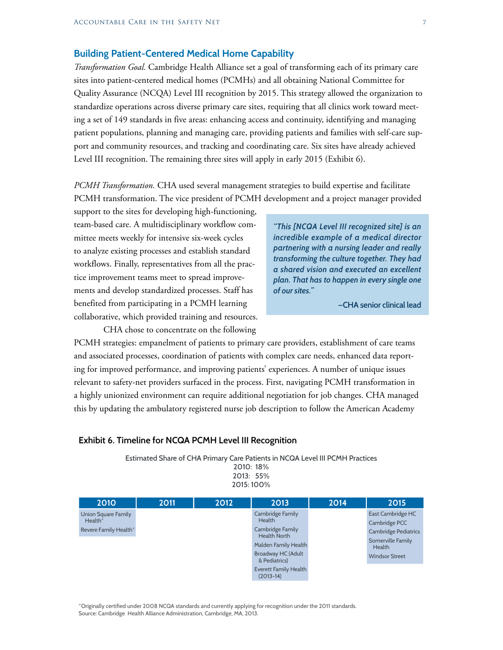#### **Building Patient-Centered Medical Home Capability**

*Transformation Goal.* Cambridge Health Alliance set a goal of transforming each of its primary care sites into patient-centered medical homes (PCMHs) and all obtaining National Committee for Quality Assurance (NCQA) Level III recognition by 2015. This strategy allowed the organization to standardize operations across diverse primary care sites, requiring that all clinics work toward meeting a set of 149 standards in five areas: enhancing access and continuity, identifying and managing patient populations, planning and managing care, providing patients and families with self-care support and community resources, and tracking and coordinating care. Six sites have already achieved Level III recognition. The remaining three sites will apply in early 2015 (Exhibit 6).

*PCMH Transformation.* CHA used several management strategies to build expertise and facilitate PCMH transformation. The vice president of PCMH development and a project manager provided

support to the sites for developing high-functioning, team-based care. A multidisciplinary workflow committee meets weekly for intensive six-week cycles to analyze existing processes and establish standard workflows. Finally, representatives from all the practice improvement teams meet to spread improvements and develop standardized processes. Staff has benefited from participating in a PCMH learning collaborative, which provided training and resources.

CHA chose to concentrate on the following

*"This [NCQA Level III recognized site] is an incredible example of a medical director partnering with a nursing leader and really transforming the culture together. They had a shared vision and executed an excellent plan. That has to happen in every single one of our sites."*

**—CHA senior clinical lead** 

PCMH strategies: empanelment of patients to primary care providers, establishment of care teams and associated processes, coordination of patients with complex care needs, enhanced data reporting for improved performance, and improving patients' experiences. A number of unique issues relevant to safety-net providers surfaced in the process. First, navigating PCMH transformation in a highly unionized environment can require additional negotiation for job changes. CHA managed this by updating the ambulatory registered nurse job description to follow the American Academy

#### **Exhibit 6. Timeline for NCQA PCMH Level III Recognition**

Estimated Share of CHA Primary Care Patients in NCQA Level III PCMH Practices

2010: 18% 2013: 55% 2015: 100%

| 2010                             | 2011 | 2012 | 2013                                    | 2014 | 2015                               |
|----------------------------------|------|------|-----------------------------------------|------|------------------------------------|
| Union Square Family<br>$Health*$ |      |      | Cambridge Family<br><b>Health</b>       |      | East Cambridge HC<br>Cambridge PCC |
| Revere Family Health*            |      |      | Cambridge Family<br><b>Health North</b> |      | <b>Cambridge Pediatrics</b>        |
|                                  |      |      | Malden Family Health                    |      | Somerville Family<br>Health        |
|                                  |      |      | Broadway HC (Adult<br>& Pediatrics)     |      | <b>Windsor Street</b>              |
|                                  |      |      | Everett Family Health<br>$(2013-14)$    |      |                                    |

\*Originally certified under 2008 NCQA standards and currently applying for recognition under the 2011 standards. Source: Cambridge Health Alliance Administration, Cambridge, MA, 2013.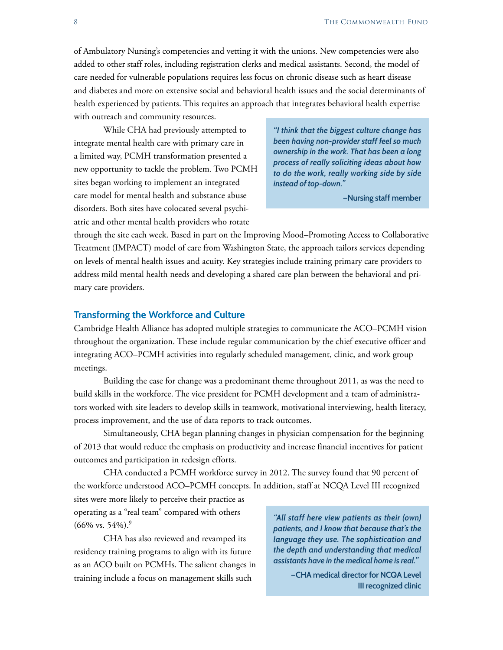of Ambulatory Nursing's competencies and vetting it with the unions. New competencies were also added to other staff roles, including registration clerks and medical assistants. Second, the model of care needed for vulnerable populations requires less focus on chronic disease such as heart disease and diabetes and more on extensive social and behavioral health issues and the social determinants of health experienced by patients. This requires an approach that integrates behavioral health expertise with outreach and community resources.

While CHA had previously attempted to integrate mental health care with primary care in a limited way, PCMH transformation presented a new opportunity to tackle the problem. Two PCMH sites began working to implement an integrated care model for mental health and substance abuse disorders. Both sites have colocated several psychiatric and other mental health providers who rotate

*"I think that the biggest culture change has been having non-provider staff feel so much ownership in the work. That has been a long process of really soliciting ideas about how to do the work, really working side by side instead of top-down."*

**—Nursing staff member**

through the site each week. Based in part on the Improving Mood–Promoting Access to Collaborative Treatment (IMPACT) model of care from Washington State, the approach tailors services depending on levels of mental health issues and acuity. Key strategies include training primary care providers to address mild mental health needs and developing a shared care plan between the behavioral and primary care providers.

#### **Transforming the Workforce and Culture**

Cambridge Health Alliance has adopted multiple strategies to communicate the ACO–PCMH vision throughout the organization. These include regular communication by the chief executive officer and integrating ACO–PCMH activities into regularly scheduled management, clinic, and work group meetings.

Building the case for change was a predominant theme throughout 2011, as was the need to build skills in the workforce. The vice president for PCMH development and a team of administrators worked with site leaders to develop skills in teamwork, motivational interviewing, health literacy, process improvement, and the use of data reports to track outcomes.

Simultaneously, CHA began planning changes in physician compensation for the beginning of 2013 that would reduce the emphasis on productivity and increase financial incentives for patient outcomes and participation in redesign efforts.

CHA conducted a PCMH workforce survey in 2012. The survey found that 90 percent of the workforce understood ACO–PCMH concepts. In addition, staff at NCQA Level III recognized

sites were more likely to perceive their practice as operating as a "real team" compared with others  $(66\% \text{ vs. } 54\%).$ <sup>9</sup>

CHA has also reviewed and revamped its residency training programs to align with its future as an ACO built on PCMHs. The salient changes in training include a focus on management skills such

*"All staff here view patients as their (own) patients, and I know that because that's the language they use. The sophistication and the depth and understanding that medical assistants have in the medical home is real."*

> **—CHA medical director for NCQA Level III recognized clinic**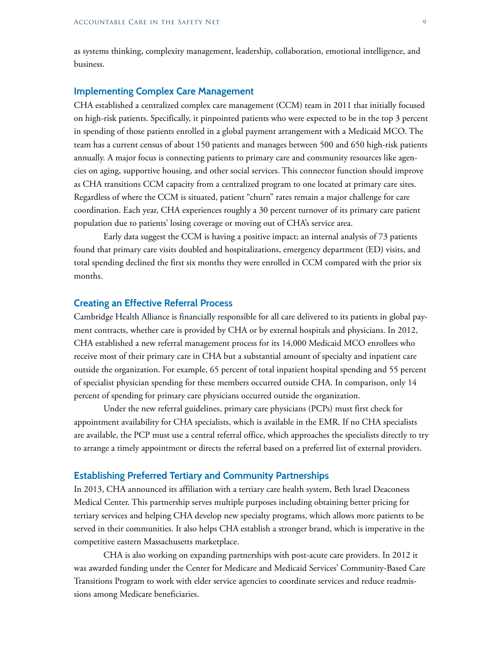as systems thinking, complexity management, leadership, collaboration, emotional intelligence, and business.

#### **Implementing Complex Care Management**

CHA established a centralized complex care management (CCM) team in 2011 that initially focused on high-risk patients. Specifically, it pinpointed patients who were expected to be in the top 3 percent in spending of those patients enrolled in a global payment arrangement with a Medicaid MCO. The team has a current census of about 150 patients and manages between 500 and 650 high-risk patients annually. A major focus is connecting patients to primary care and community resources like agencies on aging, supportive housing, and other social services. This connector function should improve as CHA transitions CCM capacity from a centralized program to one located at primary care sites. Regardless of where the CCM is situated, patient "churn" rates remain a major challenge for care coordination. Each year, CHA experiences roughly a 30 percent turnover of its primary care patient population due to patients' losing coverage or moving out of CHA's service area.

Early data suggest the CCM is having a positive impact; an internal analysis of 73 patients found that primary care visits doubled and hospitalizations, emergency department (ED) visits, and total spending declined the first six months they were enrolled in CCM compared with the prior six months.

#### **Creating an Effective Referral Process**

Cambridge Health Alliance is financially responsible for all care delivered to its patients in global payment contracts, whether care is provided by CHA or by external hospitals and physicians. In 2012, CHA established a new referral management process for its 14,000 Medicaid MCO enrollees who receive most of their primary care in CHA but a substantial amount of specialty and inpatient care outside the organization. For example, 65 percent of total inpatient hospital spending and 55 percent of specialist physician spending for these members occurred outside CHA. In comparison, only 14 percent of spending for primary care physicians occurred outside the organization.

Under the new referral guidelines, primary care physicians (PCPs) must first check for appointment availability for CHA specialists, which is available in the EMR. If no CHA specialists are available, the PCP must use a central referral office, which approaches the specialists directly to try to arrange a timely appointment or directs the referral based on a preferred list of external providers.

#### **Establishing Preferred Tertiary and Community Partnerships**

In 2013, CHA announced its affiliation with a tertiary care health system, Beth Israel Deaconess Medical Center. This partnership serves multiple purposes including obtaining better pricing for tertiary services and helping CHA develop new specialty programs, which allows more patients to be served in their communities. It also helps CHA establish a stronger brand, which is imperative in the competitive eastern Massachusetts marketplace.

CHA is also working on expanding partnerships with post-acute care providers. In 2012 it was awarded funding under the Center for Medicare and Medicaid Services' Community-Based Care Transitions Program to work with elder service agencies to coordinate services and reduce readmissions among Medicare beneficiaries.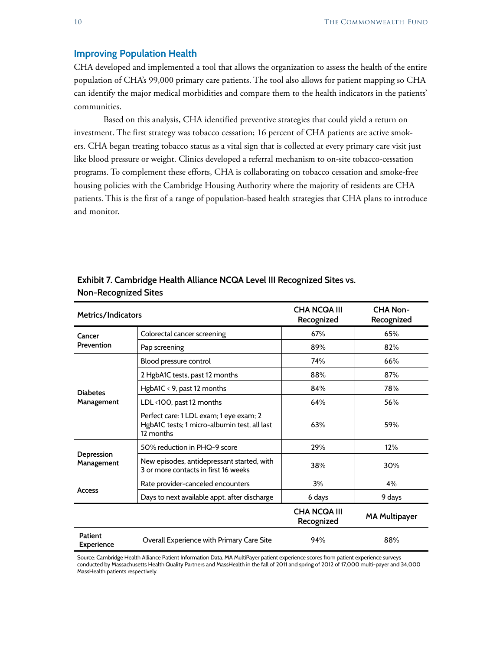#### **Improving Population Health**

CHA developed and implemented a tool that allows the organization to assess the health of the entire population of CHA's 99,000 primary care patients. The tool also allows for patient mapping so CHA can identify the major medical morbidities and compare them to the health indicators in the patients' communities.

Based on this analysis, CHA identified preventive strategies that could yield a return on investment. The first strategy was tobacco cessation; 16 percent of CHA patients are active smokers. CHA began treating tobacco status as a vital sign that is collected at every primary care visit just like blood pressure or weight. Clinics developed a referral mechanism to on-site tobacco-cessation programs. To complement these efforts, CHA is collaborating on tobacco cessation and smoke-free housing policies with the Cambridge Housing Authority where the majority of residents are CHA patients. This is the first of a range of population-based health strategies that CHA plans to introduce and monitor.

| Metrics/Indicators                  |                                                                                                      | <b>CHA NCQA III</b><br>Recognized | <b>CHA Non-</b><br>Recognized |
|-------------------------------------|------------------------------------------------------------------------------------------------------|-----------------------------------|-------------------------------|
| Cancer<br>Prevention                | Colorectal cancer screening                                                                          | 67%                               | 65%                           |
|                                     | Pap screening                                                                                        | 89%                               | 82%                           |
| <b>Diabetes</b><br>Management       | Blood pressure control                                                                               | 74%                               | 66%                           |
|                                     | 2 HgbA1C tests, past 12 months                                                                       | 88%                               | 87%                           |
|                                     | HgbA1C $\leq$ 9, past 12 months                                                                      | 84%                               | 78%                           |
|                                     | LDL <100, past 12 months                                                                             | 64%                               | 56%                           |
|                                     | Perfect care: 1 LDL exam; 1 eye exam; 2<br>HgbA1C tests; 1 micro-albumin test, all last<br>12 months | 63%                               | 59%                           |
| Depression<br>Management            | 50% reduction in PHQ-9 score                                                                         | 29%                               | 12%                           |
|                                     | New episodes, antidepressant started, with<br>3 or more contacts in first 16 weeks                   | 38%                               | 30%                           |
|                                     | Rate provider-canceled encounters                                                                    | 3%                                | 4%                            |
| <b>Access</b>                       | Days to next available appt. after discharge                                                         | 6 days                            | 9 days                        |
|                                     |                                                                                                      | <b>CHA NCQA III</b><br>Recognized | <b>MA Multipayer</b>          |
| <b>Patient</b><br><b>Experience</b> | Overall Experience with Primary Care Site                                                            | 94%                               | 88%                           |

#### **Exhibit 7. Cambridge Health Alliance NCQA Level III Recognized Sites vs. Non-Recognized Sites**

Source: Cambridge Health Alliance Patient Information Data. MA MultiPayer patient experience scores from patient experience surveys conducted by Massachusetts Health Quality Partners and MassHealth in the fall of 2011 and spring of 2012 of 17,000 multi-payer and 34,000 MassHealth patients respectively.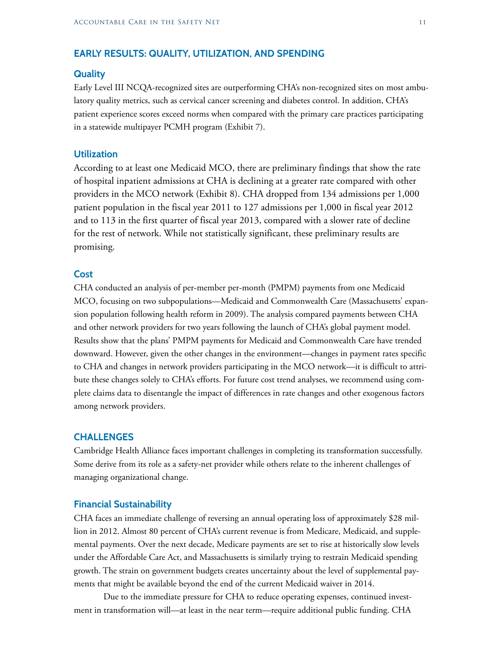#### **EARLY RESULTS: QUALITY, UTILIZATION, AND SPENDING**

#### **Quality**

Early Level III NCQA-recognized sites are outperforming CHA's non-recognized sites on most ambulatory quality metrics, such as cervical cancer screening and diabetes control. In addition, CHA's patient experience scores exceed norms when compared with the primary care practices participating in a statewide multipayer PCMH program (Exhibit 7).

#### **Utilization**

According to at least one Medicaid MCO, there are preliminary findings that show the rate of hospital inpatient admissions at CHA is declining at a greater rate compared with other providers in the MCO network (Exhibit 8). CHA dropped from 134 admissions per 1,000 patient population in the fiscal year 2011 to 127 admissions per 1,000 in fiscal year 2012 and to 113 in the first quarter of fiscal year 2013, compared with a slower rate of decline for the rest of network. While not statistically significant, these preliminary results are promising.

#### **Cost**

CHA conducted an analysis of per-member per-month (PMPM) payments from one Medicaid MCO, focusing on two subpopulations—Medicaid and Commonwealth Care (Massachusetts' expansion population following health reform in 2009). The analysis compared payments between CHA and other network providers for two years following the launch of CHA's global payment model. Results show that the plans' PMPM payments for Medicaid and Commonwealth Care have trended downward. However, given the other changes in the environment—changes in payment rates specific to CHA and changes in network providers participating in the MCO network—it is difficult to attribute these changes solely to CHA's efforts. For future cost trend analyses, we recommend using complete claims data to disentangle the impact of differences in rate changes and other exogenous factors among network providers.

#### **CHALLENGES**

Cambridge Health Alliance faces important challenges in completing its transformation successfully. Some derive from its role as a safety-net provider while others relate to the inherent challenges of managing organizational change.

#### **Financial Sustainability**

CHA faces an immediate challenge of reversing an annual operating loss of approximately \$28 million in 2012. Almost 80 percent of CHA's current revenue is from Medicare, Medicaid, and supplemental payments. Over the next decade, Medicare payments are set to rise at historically slow levels under the Affordable Care Act, and Massachusetts is similarly trying to restrain Medicaid spending growth. The strain on government budgets creates uncertainty about the level of supplemental payments that might be available beyond the end of the current Medicaid waiver in 2014.

Due to the immediate pressure for CHA to reduce operating expenses, continued investment in transformation will—at least in the near term—require additional public funding. CHA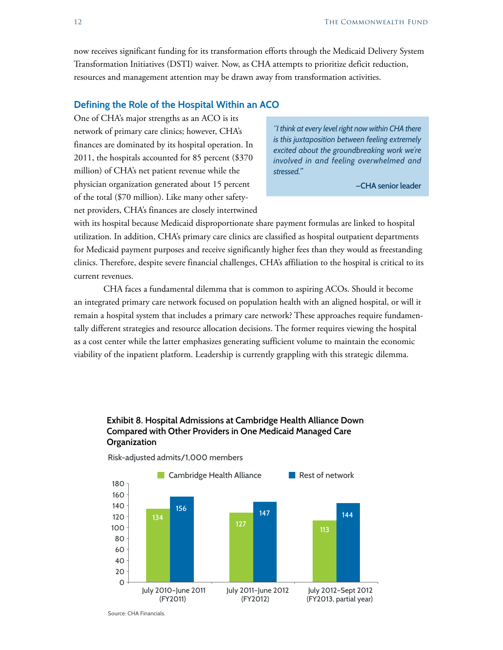now receives significant funding for its transformation efforts through the Medicaid Delivery System Transformation Initiatives (DSTI) waiver. Now, as CHA attempts to prioritize deficit reduction, resources and management attention may be drawn away from transformation activities.

#### **Defining the Role of the Hospital Within an ACO**

One of CHA's major strengths as an ACO is its network of primary care clinics; however, CHA's finances are dominated by its hospital operation. In 2011, the hospitals accounted for 85 percent (\$370 million) of CHA's net patient revenue while the physician organization generated about 15 percent of the total (\$70 million). Like many other safetynet providers, CHA's finances are closely intertwined

*"I think at every level right now within CHA there is this juxtaposition between feeling extremely excited about the groundbreaking work we're involved in and feeling overwhelmed and stressed."*

**—CHA senior leader**

with its hospital because Medicaid disproportionate share payment formulas are linked to hospital utilization. In addition, CHA's primary care clinics are classified as hospital outpatient departments for Medicaid payment purposes and receive significantly higher fees than they would as freestanding clinics. Therefore, despite severe financial challenges, CHA's affiliation to the hospital is critical to its current revenues.

CHA faces a fundamental dilemma that is common to aspiring ACOs. Should it become an integrated primary care network focused on population health with an aligned hospital, or will it remain a hospital system that includes a primary care network? These approaches require fundamentally different strategies and resource allocation decisions. The former requires viewing the hospital as a cost center while the latter emphasizes generating sufficient volume to maintain the economic viability of the inpatient platform. Leadership is currently grappling with this strategic dilemma.

#### **Exhibit 8. Hospital Admissions at Cambridge Health Alliance Down Compared with Other Providers in One Medicaid Managed Care Organization**



Risk-adjusted admits/1,000 members

Source: CHA Financials.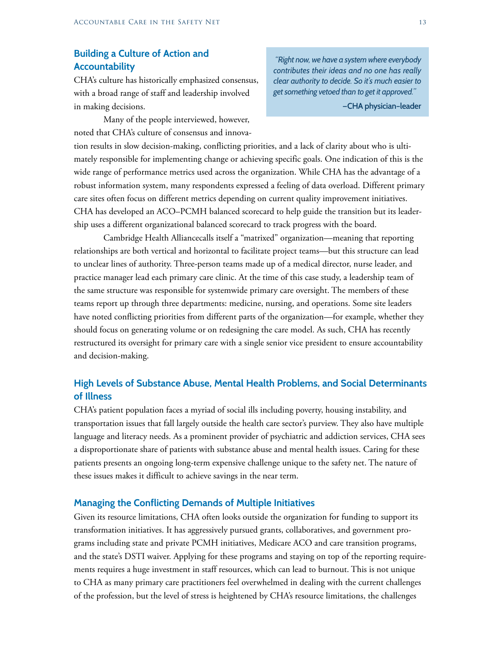### **Building a Culture of Action and Accountability**

CHA's culture has historically emphasized consensus, with a broad range of staff and leadership involved in making decisions.

Many of the people interviewed, however, noted that CHA's culture of consensus and innova-

*"Right now, we have a system where everybody contributes their ideas and no one has really clear authority to decide. So it's much easier to get something vetoed than to get it approved."*

**—CHA physician–leader** 

tion results in slow decision-making, conflicting priorities, and a lack of clarity about who is ultimately responsible for implementing change or achieving specific goals. One indication of this is the wide range of performance metrics used across the organization. While CHA has the advantage of a robust information system, many respondents expressed a feeling of data overload. Different primary care sites often focus on different metrics depending on current quality improvement initiatives. CHA has developed an ACO–PCMH balanced scorecard to help guide the transition but its leadership uses a different organizational balanced scorecard to track progress with the board.

Cambridge Health Alliancecalls itself a "matrixed" organization—meaning that reporting relationships are both vertical and horizontal to facilitate project teams—but this structure can lead to unclear lines of authority. Three-person teams made up of a medical director, nurse leader, and practice manager lead each primary care clinic. At the time of this case study, a leadership team of the same structure was responsible for systemwide primary care oversight. The members of these teams report up through three departments: medicine, nursing, and operations. Some site leaders have noted conflicting priorities from different parts of the organization—for example, whether they should focus on generating volume or on redesigning the care model. As such, CHA has recently restructured its oversight for primary care with a single senior vice president to ensure accountability and decision-making.

#### **High Levels of Substance Abuse, Mental Health Problems, and Social Determinants of Illness**

CHA's patient population faces a myriad of social ills including poverty, housing instability, and transportation issues that fall largely outside the health care sector's purview. They also have multiple language and literacy needs. As a prominent provider of psychiatric and addiction services, CHA sees a disproportionate share of patients with substance abuse and mental health issues. Caring for these patients presents an ongoing long-term expensive challenge unique to the safety net. The nature of these issues makes it difficult to achieve savings in the near term.

#### **Managing the Conflicting Demands of Multiple Initiatives**

Given its resource limitations, CHA often looks outside the organization for funding to support its transformation initiatives. It has aggressively pursued grants, collaboratives, and government programs including state and private PCMH initiatives, Medicare ACO and care transition programs, and the state's DSTI waiver. Applying for these programs and staying on top of the reporting requirements requires a huge investment in staff resources, which can lead to burnout. This is not unique to CHA as many primary care practitioners feel overwhelmed in dealing with the current challenges of the profession, but the level of stress is heightened by CHA's resource limitations, the challenges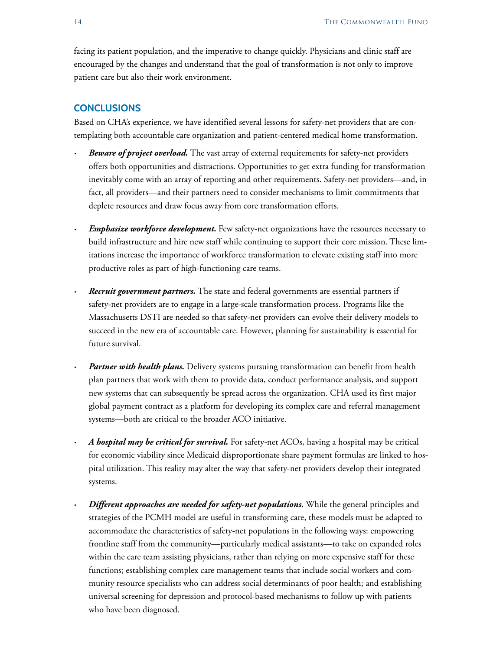facing its patient population, and the imperative to change quickly. Physicians and clinic staff are encouraged by the changes and understand that the goal of transformation is not only to improve patient care but also their work environment.

#### **CONCLUSIONS**

Based on CHA's experience, we have identified several lessons for safety-net providers that are contemplating both accountable care organization and patient-centered medical home transformation.

- *Beware of project overload*. The vast array of external requirements for safety-net providers offers both opportunities and distractions. Opportunities to get extra funding for transformation inevitably come with an array of reporting and other requirements. Safety-net providers—and, in fact, all providers—and their partners need to consider mechanisms to limit commitments that deplete resources and draw focus away from core transformation efforts.
- *Emphasize workforce development.* Few safety-net organizations have the resources necessary to build infrastructure and hire new staff while continuing to support their core mission. These limitations increase the importance of workforce transformation to elevate existing staff into more productive roles as part of high-functioning care teams.
- *Recruit government partners.* The state and federal governments are essential partners if safety-net providers are to engage in a large-scale transformation process. Programs like the Massachusetts DSTI are needed so that safety-net providers can evolve their delivery models to succeed in the new era of accountable care. However, planning for sustainability is essential for future survival.
- *Partner with health plans.* Delivery systems pursuing transformation can benefit from health plan partners that work with them to provide data, conduct performance analysis, and support new systems that can subsequently be spread across the organization. CHA used its first major global payment contract as a platform for developing its complex care and referral management systems—both are critical to the broader ACO initiative.
- *· A hospital may be critical for survival.* For safety-net ACOs, having a hospital may be critical for economic viability since Medicaid disproportionate share payment formulas are linked to hospital utilization. This reality may alter the way that safety-net providers develop their integrated systems.
- *Different approaches are needed for safety-net populations.* While the general principles and strategies of the PCMH model are useful in transforming care, these models must be adapted to accommodate the characteristics of safety-net populations in the following ways: empowering frontline staff from the community—particularly medical assistants—to take on expanded roles within the care team assisting physicians, rather than relying on more expensive staff for these functions; establishing complex care management teams that include social workers and community resource specialists who can address social determinants of poor health; and establishing universal screening for depression and protocol-based mechanisms to follow up with patients who have been diagnosed.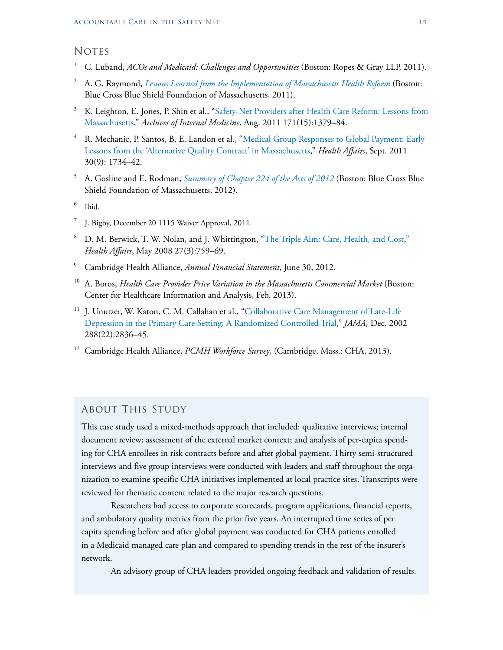#### **NOTES**

- <sup>1</sup> C. Luband, *ACOs and Medicaid: Challenges and Opportunities* (Boston: Ropes & Gray LLP, 2011).
- <sup>2</sup> A. G. Raymond, *[Lessons Learned from the Implementation of Massachusetts Health Reform](http://bluecrossmafoundation.org/sites/default/files/Lessons%20from%20the%20Implementation%20of%20MA%20Health%20Reform.pdf)* (Boston: Blue Cross Blue Shield Foundation of Massachusetts, 2011).
- <sup>3</sup> K. Leighton, E. Jones, P. Shin et al., "Safety-Net Providers after Health Care Reform: Lessons from [Massachusetts,](http://archinte.jamanetwork.com/article.aspx?articleid=1105879)" *Archives of Internal Medicine*, Aug. 2011 171(15):1379–84.
- <sup>4</sup> R. Mechanic, P. Santos, B. E. Landon et al., "Medical Group Responses to Global Payment: Early [Lessons from the 'Alternative Quality Contract' in Massachusetts,](http://content.healthaffairs.org/content/30/9/1734.abstract)" *Health Affairs*, Sept. 2011 30(9): 1734–42.
- <sup>5</sup> A. Gosline and E. Rodman, *[Summary of Chapter 224 of the Acts of 2012](http://bluecrossmafoundation.org/sites/default/files/download/publication/Chapter%20224%20summary_1.pdf)* (Boston: Blue Cross Blue Shield Foundation of Massachusetts, 2012).
- <sup>6</sup> Ibid.
- <sup>7</sup> J. Bigby, December 20 [1115 Waiver Approval,](http://www.mass.gov/eohhs/docs/eohhs/cms-waiver/waiver-approval-docs-as-signed-12-20-11.txt) 2011.
- <sup>8</sup> D. M. Berwick, T. W. Nolan, and J. Whittington, "[The Triple Aim: Care, Health, and Cost,](http://content.healthaffairs.org/content/27/3/759.long)" *Health Affairs*, May 2008 27(3):759–69.
- <sup>9</sup> Cambridge Health Alliance, *Annual Financial Statement*, June 30, 2012.
- <sup>10</sup> A. Boros, *Health Care Provider Price Variation in the Massachusetts Commercial Market* (Boston: Center for Healthcare Information and Analysis, Feb. 2013).
- <sup>11</sup> J. Unutzer, W. Katon, C. M. Callahan et al., "Collaborative Care Management of Late-Life [Depression in the Primary Care Setting: A Randomized Controlled Trial,](http://jama.jamanetwork.com/article.aspx?articleid=195599)" *JAMA,* Dec. 2002 288(22):2836–45.
- <sup>12</sup> Cambridge Health Alliance, *PCMH Workforce Survey*, (Cambridge, Mass.: CHA, 2013).

#### About This Study

This case study used a mixed-methods approach that included: qualitative interviews; internal document review; assessment of the external market context; and analysis of per-capita spending for CHA enrollees in risk contracts before and after global payment. Thirty semi-structured interviews and five group interviews were conducted with leaders and staff throughout the organization to examine specific CHA initiatives implemented at local practice sites. Transcripts were reviewed for thematic content related to the major research questions.

Researchers had access to corporate scorecards, program applications, financial reports, and ambulatory quality metrics from the prior five years. An interrupted time series of per capita spending before and after global payment was conducted for CHA patients enrolled in a Medicaid managed care plan and compared to spending trends in the rest of the insurer's network.

An advisory group of CHA leaders provided ongoing feedback and validation of results.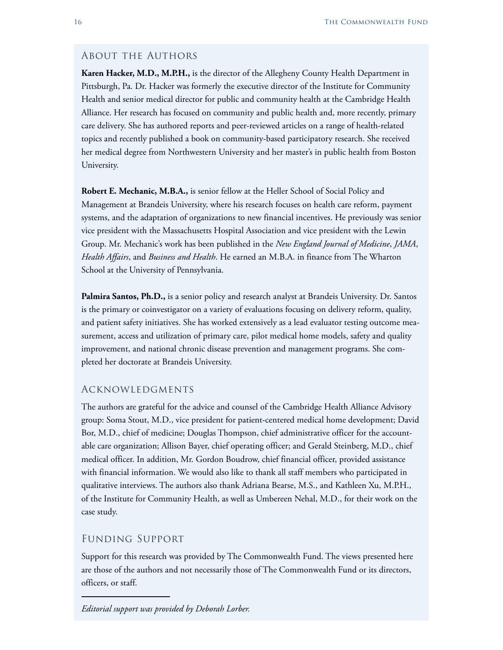#### About the Authors

**Karen Hacker, M.D., M.P.H.,** is the director of the Allegheny County Health Department in Pittsburgh, Pa. Dr. Hacker was formerly the executive director of the Institute for Community Health and senior medical director for public and community health at the Cambridge Health Alliance. Her research has focused on community and public health and, more recently, primary care delivery. She has authored reports and peer-reviewed articles on a range of health-related topics and recently published a book on community-based participatory research. She received her medical degree from Northwestern University and her master's in public health from Boston University.

**Robert E. Mechanic, M.B.A.,** is senior fellow at the Heller School of Social Policy and Management at Brandeis University, where his research focuses on health care reform, payment systems, and the adaptation of organizations to new financial incentives. He previously was senior vice president with the Massachusetts Hospital Association and vice president with the Lewin Group. Mr. Mechanic's work has been published in the *New England Journal of Medicine*, *JAMA*, *Health Affairs*, and *Business and Health*. He earned an M.B.A. in finance from The Wharton School at the University of Pennsylvania.

**Palmira Santos, Ph.D.,** is a senior policy and research analyst at Brandeis University. Dr. Santos is the primary or coinvestigator on a variety of evaluations focusing on delivery reform, quality, and patient safety initiatives. She has worked extensively as a lead evaluator testing outcome measurement, access and utilization of primary care, pilot medical home models, safety and quality improvement, and national chronic disease prevention and management programs. She completed her doctorate at Brandeis University.

#### Acknowledgments

The authors are grateful for the advice and counsel of the Cambridge Health Alliance Advisory group: Soma Stout, M.D., vice president for patient-centered medical home development; David Bor, M.D., chief of medicine; Douglas Thompson, chief administrative officer for the accountable care organization; Allison Bayer, chief operating officer; and Gerald Steinberg, M.D., chief medical officer. In addition, Mr. Gordon Boudrow, chief financial officer, provided assistance with financial information. We would also like to thank all staff members who participated in qualitative interviews. The authors also thank Adriana Bearse, M.S., and Kathleen Xu, M.P.H., of the Institute for Community Health, as well as Umbereen Nehal, M.D., for their work on the case study.

#### Funding Support

Support for this research was provided by The Commonwealth Fund. The views presented here are those of the authors and not necessarily those of The Commonwealth Fund or its directors, officers, or staff.